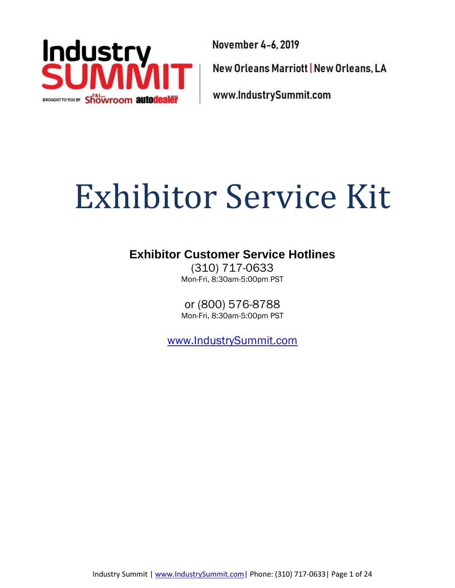

November 4-6, 2019 New Orleans Marriott | New Orleans, LA www.IndustrySummit.com

# Exhibitor Service Kit

## **Exhibitor Customer Service Hotlines**

(310) 717-0633 Mon-Fri, 8:30am-5:00pm PST

or (800) 576-8788 Mon-Fri, 8:30am-5:00pm PST

[www.IndustrySummit.com](http://www.industrysummit.com/)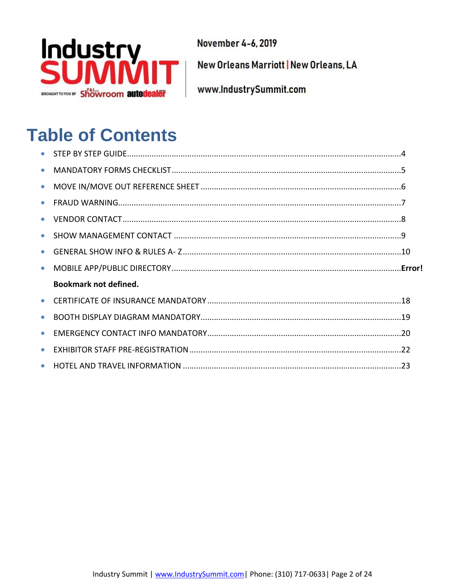

New Orleans Marriott | New Orleans, LA

www.IndustrySummit.com

## **Table of Contents**

| $\bullet$       |                              |  |
|-----------------|------------------------------|--|
| ۰               |                              |  |
| $\bullet$       |                              |  |
|                 |                              |  |
|                 |                              |  |
| ۰               |                              |  |
|                 |                              |  |
| $\blacklozenge$ |                              |  |
|                 | <b>Bookmark not defined.</b> |  |
|                 |                              |  |
|                 |                              |  |
| $\bullet$       |                              |  |
| $\bullet$       |                              |  |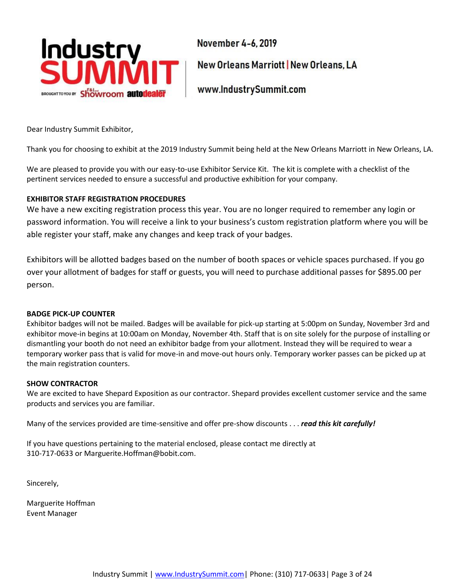

New Orleans Marriott | New Orleans, LA

www.IndustrySummit.com

Dear Industry Summit Exhibitor,

Thank you for choosing to exhibit at the 2019 Industry Summit being held at the New Orleans Marriott in New Orleans, LA.

We are pleased to provide you with our easy-to-use Exhibitor Service Kit. The kit is complete with a checklist of the pertinent services needed to ensure a successful and productive exhibition for your company.

#### **EXHIBITOR STAFF REGISTRATION PROCEDURES**

We have a new exciting registration process this year. You are no longer required to remember any login or password information. You will receive a link to your business's custom registration platform where you will be able register your staff, make any changes and keep track of your badges.

Exhibitors will be allotted badges based on the number of booth spaces or vehicle spaces purchased. If you go over your allotment of badges for staff or guests, you will need to purchase additional passes for \$895.00 per person.

#### **BADGE PICK-UP COUNTER**

Exhibitor badges will not be mailed. Badges will be available for pick-up starting at 5:00pm on Sunday, November 3rd and exhibitor move-in begins at 10:00am on Monday, November 4th. Staff that is on site solely for the purpose of installing or dismantling your booth do not need an exhibitor badge from your allotment. Instead they will be required to wear a temporary worker pass that is valid for move-in and move-out hours only. Temporary worker passes can be picked up at the main registration counters.

#### **SHOW CONTRACTOR**

We are excited to have Shepard Exposition as our contractor. Shepard provides excellent customer service and the same products and services you are familiar.

Many of the services provided are time-sensitive and offer pre-show discounts . . . *read this kit carefully!*

If you have questions pertaining to the material enclosed, please contact me directly at 310-717-0633 or Marguerite.Hoffman@bobit.com.

Sincerely,

Marguerite Hoffman Event Manager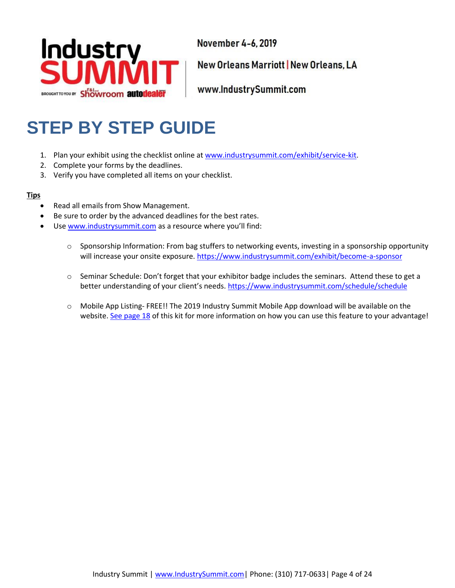

New Orleans Marriott | New Orleans, LA

www.IndustrySummit.com

## <span id="page-3-0"></span>**STEP BY STEP GUIDE**

- 1. Plan your exhibit using the checklist online at [www.industrysummit.com/exhibit/service-kit.](https://www.industrysummit.com/exhibit/service-kit)
- 2. Complete your forms by the deadlines.
- 3. Verify you have completed all items on your checklist.

#### **Tips**

- Read all emails from Show Management.
- Be sure to order by the advanced deadlines for the best rates.
- Use [www.industrysummit.com](http://www.industrysummit.com/) as a resource where you'll find:
	- o Sponsorship Information: From bag stuffers to networking events, investing in a sponsorship opportunity will increase your onsite exposure. https://www.industrysummit.com/exhibit/become-a-sponsor
	- o Seminar Schedule: Don't forget that your exhibitor badge includes the seminars. Attend these to get a better understanding of your client's needs. https://www.industrysummit.com/schedule/schedule
	- o Mobile App Listing- FREE!! The 2019 Industry Summit Mobile App download will be available on the website[. See page 18](#page-15-0) of this kit for more information on how you can use this feature to your advantage!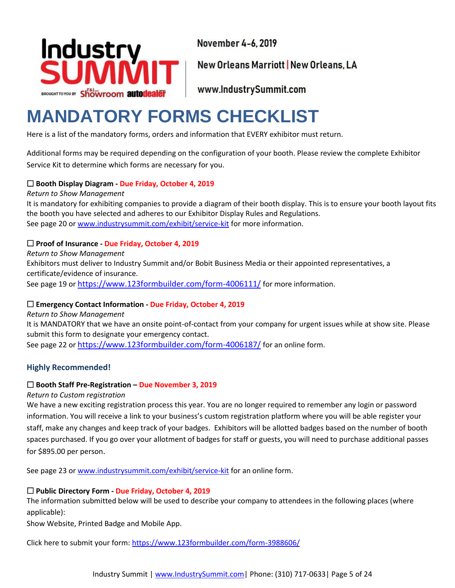

New Orleans Marriott | New Orleans, LA

www.IndustrySummit.com

## <span id="page-4-0"></span>**MANDATORY FORMS CHECKLIST**

Here is a list of the mandatory forms, orders and information that EVERY exhibitor must return.

Additional forms may be required depending on the configuration of your booth. Please review the complete Exhibitor Service Kit to determine which forms are necessary for you.

#### **Booth Display Diagram - Due Friday, October 4, 2019**

*Return to Show Management* It is mandatory for exhibiting companies to provide a diagram of their booth display. This is to ensure your booth layout fits the booth you have selected and adheres to our Exhibitor Display Rules and Regulations. See page 20 o[r www.industrysummit.com/exhibit/service-kit](https://www.industrysummit.com/exhibit/service-kit) for more information.

### **Proof of Insurance - Due Friday, October 4, 2019**

*Return to Show Management* Exhibitors must deliver to Industry Summit and/or Bobit Business Media or their appointed representatives, a certificate/evidence of insurance. See page 19 or <https://www.123formbuilder.com/form-4006111/> for more information.

#### **Emergency Contact Information - Due Friday, October 4, 2019**

*Return to Show Management* It is MANDATORY that we have an onsite point-of-contact from your company for urgent issues while at show site. Please submit this form to designate your emergency contact. See page 22 or <https://www.123formbuilder.com/form-4006187/> for an online form.

## **Highly Recommended!**

#### **Booth Staff Pre-Registration – Due November 3, 2019**

#### *Return to Custom registration*

We have a new exciting registration process this year. You are no longer required to remember any login or password information. You will receive a link to your business's custom registration platform where you will be able register your staff, make any changes and keep track of your badges. Exhibitors will be allotted badges based on the number of booth spaces purchased. If you go over your allotment of badges for staff or guests, you will need to purchase additional passes for \$895.00 per person.

See page 23 o[r www.industrysummit.com/exhibit/service-kit](https://www.industrysummit.com/exhibit/service-kit) for an online form.

#### **Public Directory Form - Due Friday, October 4, 2019**

The information submitted below will be used to describe your company to attendees in the following places (where applicable):

Show Website, Printed Badge and Mobile App.

Click here to submit your form[: https://www.123formbuilder.com/form-3988606/](https://www.123formbuilder.com/form-3988606/)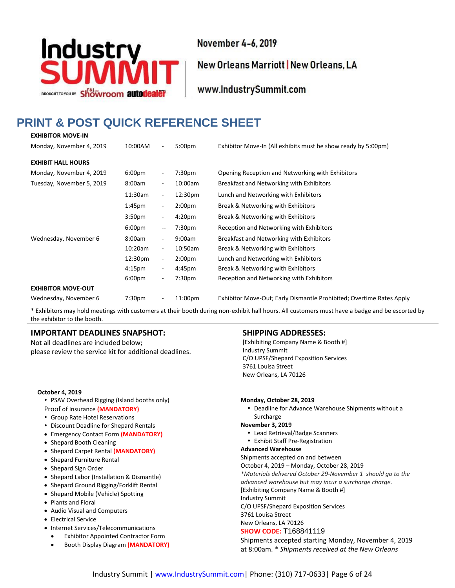

New Orleans Marriott | New Orleans, LA

www.IndustrySummit.com

#### <span id="page-5-0"></span>**PRINT & POST QUICK REFERENCE SHEET EXHIBITOR MOVE-IN**

| 10:00AM            | $\overline{\phantom{a}}$ | 5:00 <sub>pm</sub> | Exhibitor Move-In (All exhibits must be show ready by 5:00pm)        |
|--------------------|--------------------------|--------------------|----------------------------------------------------------------------|
|                    |                          |                    |                                                                      |
| 6:00 <sub>pm</sub> | $\overline{\phantom{a}}$ | 7:30 <sub>pm</sub> | Opening Reception and Networking with Exhibitors                     |
| 8:00am             | $\overline{\phantom{a}}$ | 10:00am            | Breakfast and Networking with Exhibitors                             |
| 11:30am            | $\overline{\phantom{a}}$ | 12:30pm            | Lunch and Networking with Exhibitors                                 |
| 1:45 <sub>pm</sub> | $\overline{\phantom{a}}$ | 2:00 <sub>pm</sub> | Break & Networking with Exhibitors                                   |
| 3:50 <sub>pm</sub> | $\overline{\phantom{a}}$ | 4:20 <sub>pm</sub> | Break & Networking with Exhibitors                                   |
| 6:00 <sub>pm</sub> | --                       | 7:30pm             | Reception and Networking with Exhibitors                             |
| 8:00am             | $\overline{\phantom{a}}$ | 9:00am             | Breakfast and Networking with Exhibitors                             |
| 10:20am            | $\overline{\phantom{a}}$ | 10:50am            | Break & Networking with Exhibitors                                   |
| 12:30pm            | $\overline{\phantom{a}}$ | 2:00 <sub>pm</sub> | Lunch and Networking with Exhibitors                                 |
| 4:15 <sub>pm</sub> | $\overline{\phantom{a}}$ | 4:45pm             | Break & Networking with Exhibitors                                   |
| 6:00 <sub>pm</sub> | $\overline{\phantom{a}}$ | 7:30pm             | Reception and Networking with Exhibitors                             |
|                    |                          |                    |                                                                      |
| 7:30 <sub>pm</sub> | $\overline{\phantom{a}}$ | 11:00pm            | Exhibitor Move-Out; Early Dismantle Prohibited; Overtime Rates Apply |
|                    |                          |                    |                                                                      |

\* Exhibitors may hold meetings with customers at their booth during non-exhibit hall hours. All customers must have a badge and be escorted by the exhibitor to the booth.

#### **IMPORTANT DEADLINES SNAPSHOT:**

Not all deadlines are included below; please review the service kit for additional deadlines.

#### **October 4, 2019**

- PSAV Overhead Rigging (Island booths only) Proof of Insurance **(MANDATORY)**
- Group Rate Hotel Reservations
- Discount Deadline for Shepard Rentals
- Emergency Contact Form **(MANDATORY)**
- Shepard Booth Cleaning
- Shepard Carpet Rental **(MANDATORY)**
- Shepard Furniture Rental
- Shepard Sign Order
- Shepard Labor (Installation & Dismantle)
- Shepard Ground Rigging/Forklift Rental
- Shepard Mobile (Vehicle) Spotting
- Plants and Floral
- Audio Visual and Computers
- Electrical Service
- Internet Services/Telecommunications
- Exhibitor Appointed Contractor Form
- Booth Display Diagram **(MANDATORY)**

#### **SHIPPING ADDRESSES:**

[Exhibiting Company Name & Booth #] Industry Summit C/O UPSF/Shepard Exposition Services 3761 Louisa Street New Orleans, LA 70126

#### **Monday, October 28, 2019**

 Deadline for Advance Warehouse Shipments without a Surcharge

#### **November 3, 2019**

- Lead Retrieval/Badge Scanners
- Exhibit Staff Pre-Registration

#### **Advanced Warehouse**

Shipments accepted on and between

October 4, 2019 – Monday, October 28, 2019

*\*Materials delivered October 29-November 1 should go to the advanced warehouse but may incur a surcharge charge.* [Exhibiting Company Name & Booth #]

Industry Summit

C/O UPSF/Shepard Exposition Services 3761 Louisa Street

New Orleans, LA 70126

#### **SHOW CODE:** T168841119

Shipments accepted starting Monday, November 4, 2019 at 8:00am. \* *Shipments received at the New Orleans*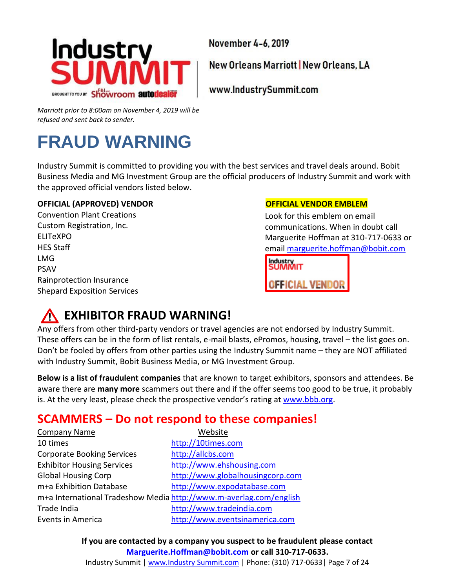

New Orleans Marriott | New Orleans, LA

www.IndustrySummit.com

*Marriott prior to 8:00am on November 4, 2019 will be refused and sent back to sender.*

## <span id="page-6-0"></span>**FRAUD WARNING**

Industry Summit is committed to providing you with the best services and travel deals around. Bobit Business Media and MG Investment Group are the official producers of Industry Summit and work with the approved official vendors listed below.

### **OFFICIAL (APPROVED) VENDOR OFFICIAL VENDOR EMBLEM**

Convention Plant Creations Custom Registration, Inc. ELITeXPO HES Staff LMG PSAV Rainprotection Insurance Shepard Exposition Services

Look for this emblem on email communications. When in doubt call Marguerite Hoffman at 310-717-0633 or email [marguerite.hoffman@bobit.com](mailto:marguerite.hoffman@bobit.com)

**Industry**<br>SUMMIT **OFFICIAL VENDOR** 

## **EXHIBITOR FRAUD WARNING!**

Any offers from other third-party vendors or travel agencies are not endorsed by Industry Summit. These offers can be in the form of list rentals, e-mail blasts, ePromos, housing, travel – the list goes on. Don't be fooled by offers from other parties using the Industry Summit name – they are NOT affiliated with Industry Summit, Bobit Business Media, or MG Investment Group.

**Below is a list of fraudulent companies** that are known to target exhibitors, sponsors and attendees. Be aware there are **many more** scammers out there and if the offer seems too good to be true, it probably is. At the very least, please check the prospective vendor's rating at [www.bbb.org.](http://www.bbb.org/)

## **SCAMMERS – Do not respond to these companies!**

| <b>Company Name</b>                                                | Website                          |  |  |  |
|--------------------------------------------------------------------|----------------------------------|--|--|--|
| 10 times                                                           | http://10times.com               |  |  |  |
| <b>Corporate Booking Services</b>                                  | http://allcbs.com                |  |  |  |
| <b>Exhibitor Housing Services</b>                                  | http://www.ehshousing.com        |  |  |  |
| <b>Global Housing Corp</b>                                         | http://www.globalhousingcorp.com |  |  |  |
| m+a Exhibition Database                                            | http://www.expodatabase.com      |  |  |  |
| m+a International Tradeshow Media http://www.m-averlag.com/english |                                  |  |  |  |
| Trade India                                                        | http://www.tradeindia.com        |  |  |  |
| <b>Events in America</b>                                           | http://www.eventsinamerica.com   |  |  |  |

**If you are contacted by a company you suspect to be fraudulent please contact [Marguerite.Hoffman@bobit.com](mailto:Marguerite.Hoffman@bobit.com) or call 310-717-0633.**

Industry Summit | www.Industry Summit.com | Phone: (310) 717-0633| Page 7 of 24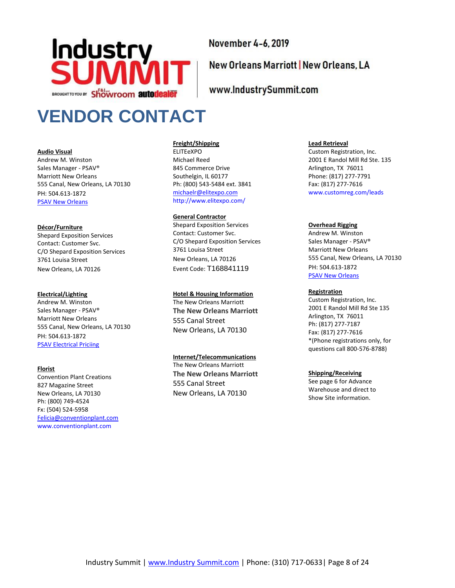

## New Orleans Marriott | New Orleans, LA

#### www.IndustrySummit.com

## <span id="page-7-0"></span>**VENDOR CONTACT**

#### **Audio Visual**

Andrew M. Winston Sales Manager - PSAV® Marriott New Orleans 555 Canal, New Orleans, LA 70130 PH: 504.613-1872 [PSAV New Orleans](https://www.psav.com/locations/new-orleans/marriott/marriott-new-orleans)

#### **Décor/Furniture**

Shepard Exposition Services Contact: Customer Svc. C/O Shepard Exposition Services 3761 Louisa Street New Orleans, LA 70126

#### **Electrical/Lighting**

Andrew M. Winston Sales Manager - PSAV® Marriott New Orleans 555 Canal, New Orleans, LA 70130 PH: 504.613-1872 [PSAV Electrical Priciing](https://modules.marriott.com/resourcefiles/msyla-new-orleans-marriott-meetings-main/power-price-guide-2019.pdf)

#### **Florist**

<span id="page-7-1"></span>Convention Plant Creations 827 Magazine Street New Orleans, LA 70130 Ph: (800) 749-4524 Fx: (504) 524-5958 [Felicia@conventionplant.com](mailto:Felicia@conventionplant.com) [www.conventionplant.com](http://www.conventionplant.com/)

#### **Freight/Shipping**

ELITEeXPO Michael Reed 845 Commerce Drive Southelgin, IL 60177 Ph: (800) 543-5484 ext. 3841 [michaelr@elitexpo.com](mailto:michaelr@elitexpo.com) <http://www.elitexpo.com/>

#### **General Contractor**

Shepard Exposition Services Contact: Customer Svc. C/O Shepard Exposition Services 3761 Louisa Street New Orleans, LA 70126 Event Code: T168841119

#### **Hotel & Housing Information**

The New Orleans Marriott **The New Orleans Marriott** 555 Canal Street New Orleans, LA 70130

#### **Internet/Telecommunications**

The New Orleans Marriott **The New Orleans Marriott** 555 Canal Street New Orleans, LA 70130

#### **Lead Retrieval**

Custom Registration, Inc. 2001 E Randol Mill Rd Ste. 135 Arlington, TX 76011 Phone: (817) 277-7791 Fax: (817) 277-7616 www.customreg.com/leads

#### **Overhead Rigging**

Andrew M. Winston Sales Manager - PSAV® Marriott New Orleans 555 Canal, New Orleans, LA 70130 PH: 504.613-1872 **[PSAV New Orleans](https://www.psav.com/locations/new-orleans/marriott/marriott-new-orleans)** 

#### **Registration**

Custom Registration, Inc. 2001 E Randol Mill Rd Ste 135 Arlington, TX 76011 Ph: (817) 277-7187 Fax: (817) 277-7616 \*(Phone registrations only, for questions call 800-576-8788)

#### **Shipping/Receiving**

See page 6 for Advance Warehouse and direct to Show Site information.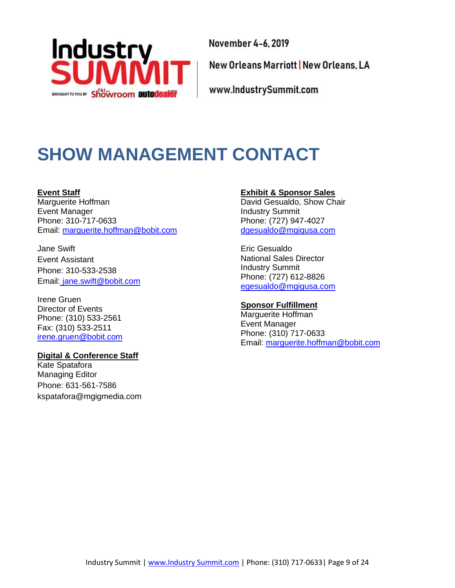

New Orleans Marriott | New Orleans, LA

www.IndustrySummit.com

## **SHOW MANAGEMENT CONTACT**

**Event Staff** Marguerite Hoffman

Event Manager Phone: 310-717-0633 Email: [marguerite.hoffman@bobit.com](mailto:samantha.schrum@bobit.com)

Jane Swift Event Assistant Phone: 310-533-2538 Email: jane.swift@bobit.com

Irene Gruen Director of Events Phone: (310) 533-2561 Fax: (310) 533-2511 [irene.gruen@bobit.com](mailto:irene.gruen@bobit.com)

#### **Digital & Conference Staff**

Kate Spatafora Managing Editor Phone: 631-561-7586 kspatafora@mgigmedia.com

#### **Exhibit & Sponsor Sales**

David Gesualdo, Show Chair Industry Summit Phone: (727) 947-4027 [dgesualdo@mgigusa.com](mailto:dgesualdo@mgigusa.com)

Eric Gesualdo National Sales Director Industry Summit Phone: (727) 612-8826 [egesualdo@mgigusa.com](mailto:egesualdo@mgigusa.com)

#### **Sponsor Fulfillment**

Marguerite Hoffman Event Manager Phone: (310) 717-0633 Email: [marguerite.hoffman@bobit.com](mailto:samantha.schrum@bobit.com)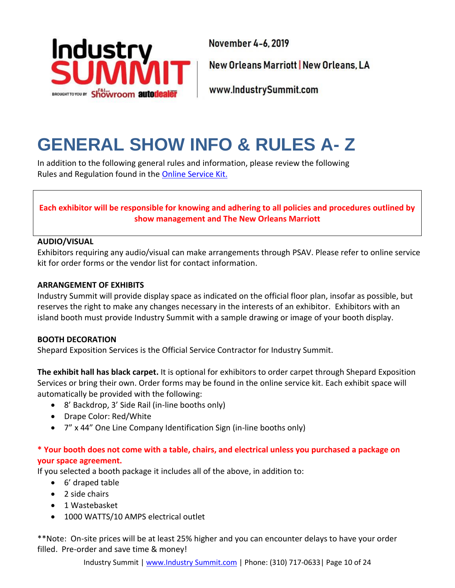

New Orleans Marriott | New Orleans, LA

www.IndustrySummit.com

## <span id="page-9-0"></span>**GENERAL SHOW INFO & RULES A- Z**

In addition to the following general rules and information, please review the following Rules and Regulation found in the [Online Service](http://www.industrysummit.com/exhibit/service-kit) Kit.

## **Each exhibitor will be responsible for knowing and adhering to all policies and procedures outlined by show management and The New Orleans Marriott**

#### **AUDIO/VISUAL**

Exhibitors requiring any audio/visual can make arrangements through PSAV. Please refer to online service kit for order forms or the vendor list for contact information.

#### **ARRANGEMENT OF EXHIBITS**

Industry Summit will provide display space as indicated on the official floor plan, insofar as possible, but reserves the right to make any changes necessary in the interests of an exhibitor. Exhibitors with an island booth must provide Industry Summit with a sample drawing or image of your booth display.

#### **BOOTH DECORATION**

Shepard Exposition Services is the Official Service Contractor for Industry Summit.

**The exhibit hall has black carpet.** It is optional for exhibitors to order carpet through Shepard Exposition Services or bring their own. Order forms may be found in the online service kit. Each exhibit space will automatically be provided with the following:

- 8' Backdrop, 3' Side Rail (in-line booths only)
- Drape Color: Red/White
- 7" x 44" One Line Company Identification Sign (in-line booths only)

### **\* Your booth does not come with a table, chairs, and electrical unless you purchased a package on your space agreement.**

If you selected a booth package it includes all of the above, in addition to:

- 6' draped table
- 2 side chairs
- 1 Wastebasket
- 1000 WATTS/10 AMPS electrical outlet

\*\*Note: On-site prices will be at least 25% higher and you can encounter delays to have your order filled. Pre-order and save time & money!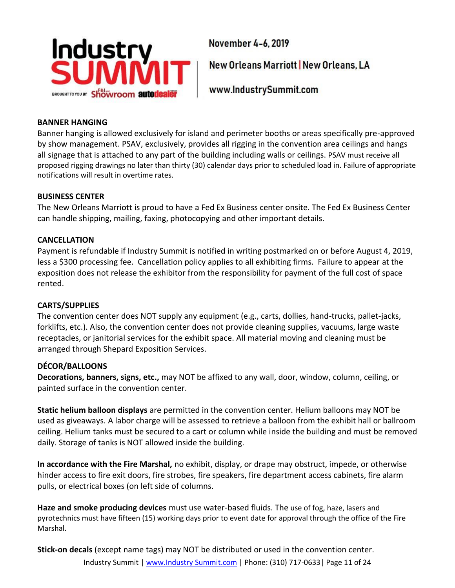

New Orleans Marriott | New Orleans, LA

www.IndustrySummit.com

#### **BANNER HANGING**

Banner hanging is allowed exclusively for island and perimeter booths or areas specifically pre-approved by show management. PSAV, exclusively, provides all rigging in the convention area ceilings and hangs all signage that is attached to any part of the building including walls or ceilings. PSAV must receive all proposed rigging drawings no later than thirty (30) calendar days prior to scheduled load in. Failure of appropriate notifications will result in overtime rates.

### **BUSINESS CENTER**

The New Orleans Marriott is proud to have a Fed Ex Business center onsite. The Fed Ex Business Center can handle shipping, mailing, faxing, photocopying and other important details.

### **CANCELLATION**

Payment is refundable if Industry Summit is notified in writing postmarked on or before August 4, 2019, less a \$300 processing fee. Cancellation policy applies to all exhibiting firms. Failure to appear at the exposition does not release the exhibitor from the responsibility for payment of the full cost of space rented.

## **CARTS/SUPPLIES**

The convention center does NOT supply any equipment (e.g., carts, dollies, hand-trucks, pallet-jacks, forklifts, etc.). Also, the convention center does not provide cleaning supplies, vacuums, large waste receptacles, or janitorial services for the exhibit space. All material moving and cleaning must be arranged through Shepard Exposition Services.

## **DÉCOR/BALLOONS**

**Decorations, banners, signs, etc.,** may NOT be affixed to any wall, door, window, column, ceiling, or painted surface in the convention center.

**Static helium balloon displays** are permitted in the convention center. Helium balloons may NOT be used as giveaways. A labor charge will be assessed to retrieve a balloon from the exhibit hall or ballroom ceiling. Helium tanks must be secured to a cart or column while inside the building and must be removed daily. Storage of tanks is NOT allowed inside the building.

**In accordance with the Fire Marshal,** no exhibit, display, or drape may obstruct, impede, or otherwise hinder access to fire exit doors, fire strobes, fire speakers, fire department access cabinets, fire alarm pulls, or electrical boxes (on left side of columns.

**Haze and smoke producing devices** must use water-based fluids. The use of fog, haze, lasers and pyrotechnics must have fifteen (15) working days prior to event date for approval through the office of the Fire Marshal.

Industry Summit | www.Industry Summit.com | Phone: (310) 717-0633| Page 11 of 24 **Stick-on decals** (except name tags) may NOT be distributed or used in the convention center.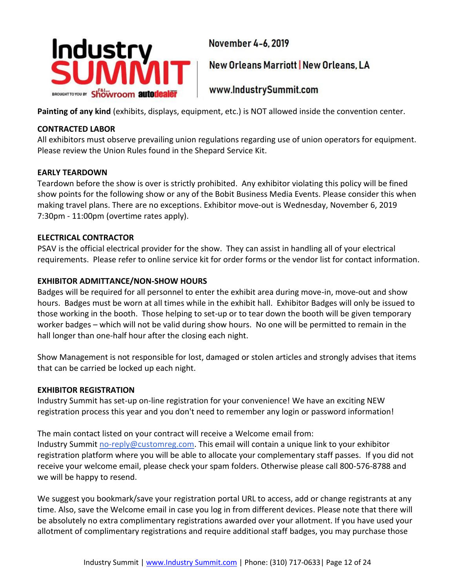

New Orleans Marriott | New Orleans, LA

www.IndustrySummit.com

**Painting of any kind** (exhibits, displays, equipment, etc.) is NOT allowed inside the convention center.

### **CONTRACTED LABOR**

All exhibitors must observe prevailing union regulations regarding use of union operators for equipment. Please review the Union Rules found in the Shepard Service Kit.

### **EARLY TEARDOWN**

Teardown before the show is over is strictly prohibited. Any exhibitor violating this policy will be fined show points for the following show or any of the Bobit Business Media Events. Please consider this when making travel plans. There are no exceptions. Exhibitor move-out is Wednesday, November 6, 2019 7:30pm - 11:00pm (overtime rates apply).

### **ELECTRICAL CONTRACTOR**

PSAV is the official electrical provider for the show. They can assist in handling all of your electrical requirements. Please refer to online service kit for order forms or the vendor list for contact information.

## **EXHIBITOR ADMITTANCE/NON-SHOW HOURS**

Badges will be required for all personnel to enter the exhibit area during move-in, move-out and show hours. Badges must be worn at all times while in the exhibit hall. Exhibitor Badges will only be issued to those working in the booth. Those helping to set-up or to tear down the booth will be given temporary worker badges – which will not be valid during show hours. No one will be permitted to remain in the hall longer than one-half hour after the closing each night.

Show Management is not responsible for lost, damaged or stolen articles and strongly advises that items that can be carried be locked up each night.

## **EXHIBITOR REGISTRATION**

Industry Summit has set-up on-line registration for your convenience! We have an exciting NEW registration process this year and you don't need to remember any login or password information!

The main contact listed on your contract will receive a Welcome email from: Industry Summit [no-reply@customreg.com.](mailto:no-reply@customreg.com) This email will contain a unique link to your exhibitor registration platform where you will be able to allocate your complementary staff passes. If you did not receive your welcome email, please check your spam folders. Otherwise please call 800-576-8788 and we will be happy to resend.

We suggest you bookmark/save your registration portal URL to access, add or change registrants at any time. Also, save the Welcome email in case you log in from different devices. Please note that there will be absolutely no extra complimentary registrations awarded over your allotment. If you have used your allotment of complimentary registrations and require additional staff badges, you may purchase those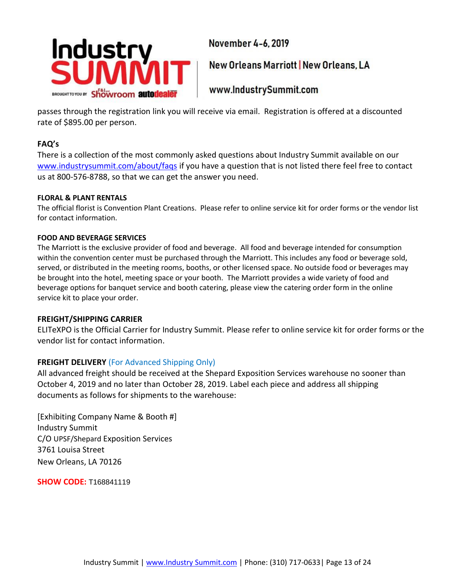

New Orleans Marriott | New Orleans, LA

www.IndustrySummit.com

passes through the registration link you will receive via email. Registration is offered at a discounted rate of \$895.00 per person.

## **FAQ's**

There is a collection of the most commonly asked questions about Industry Summit available on our [www.industrysummit.com/about/faqs](http://www.industrysummit.com/about/faqs) if you have a question that is not listed there feel free to contact us at 800-576-8788, so that we can get the answer you need.

#### **FLORAL & PLANT RENTALS**

The official florist is Convention Plant Creations. Please refer to online service kit for order forms or the vendor list for contact information.

#### **FOOD AND BEVERAGE SERVICES**

The Marriott is the exclusive provider of food and beverage. All food and beverage intended for consumption within the convention center must be purchased through the Marriott. This includes any food or beverage sold, served, or distributed in the meeting rooms, booths, or other licensed space. No outside food or beverages may be brought into the hotel, meeting space or your booth. The Marriott provides a wide variety of food and beverage options for banquet service and booth catering, please view the catering order form in the online service kit to place your order.

#### **FREIGHT/SHIPPING CARRIER**

ELITeXPO is the Official Carrier for Industry Summit. Please refer to online service kit for order forms or the vendor list for contact information.

#### **FREIGHT DELIVERY** (For Advanced Shipping Only)

All advanced freight should be received at the Shepard Exposition Services warehouse no sooner than October 4, 2019 and no later than October 28, 2019. Label each piece and address all shipping documents as follows for shipments to the warehouse:

[Exhibiting Company Name & Booth #] Industry Summit C/O UPSF/Shepard Exposition Services 3761 Louisa Street New Orleans, LA 70126

**SHOW CODE:** T168841119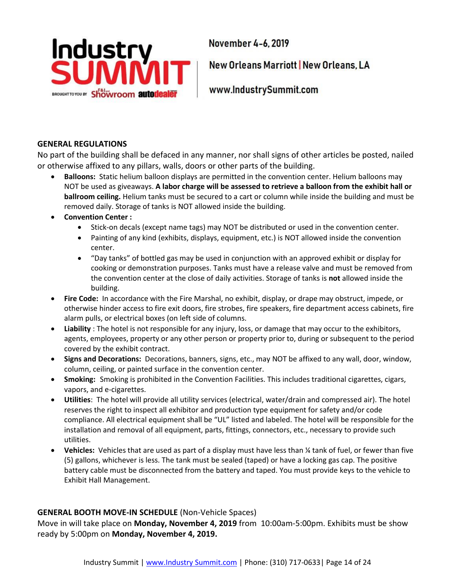

New Orleans Marriott | New Orleans, LA

www.IndustrySummit.com

#### **GENERAL REGULATIONS**

No part of the building shall be defaced in any manner, nor shall signs of other articles be posted, nailed or otherwise affixed to any pillars, walls, doors or other parts of the building.

- **Balloons:** Static helium balloon displays are permitted in the convention center. Helium balloons may NOT be used as giveaways. **A labor charge will be assessed to retrieve a balloon from the exhibit hall or ballroom ceiling.** Helium tanks must be secured to a cart or column while inside the building and must be removed daily. Storage of tanks is NOT allowed inside the building.
- **Convention Center :**
	- Stick-on decals (except name tags) may NOT be distributed or used in the convention center.
	- Painting of any kind (exhibits, displays, equipment, etc.) is NOT allowed inside the convention center.
	- "Day tanks" of bottled gas may be used in conjunction with an approved exhibit or display for cooking or demonstration purposes. Tanks must have a release valve and must be removed from the convention center at the close of daily activities. Storage of tanks is **not** allowed inside the building.
- **Fire Code:** In accordance with the Fire Marshal, no exhibit, display, or drape may obstruct, impede, or otherwise hinder access to fire exit doors, fire strobes, fire speakers, fire department access cabinets, fire alarm pulls, or electrical boxes (on left side of columns.
- **Liability** : The hotel is not responsible for any injury, loss, or damage that may occur to the exhibitors, agents, employees, property or any other person or property prior to, during or subsequent to the period covered by the exhibit contract.
- **Signs and Decorations:** Decorations, banners, signs, etc., may NOT be affixed to any wall, door, window, column, ceiling, or painted surface in the convention center.
- **Smoking:** Smoking is prohibited in the Convention Facilities. This includes traditional cigarettes, cigars, vapors, and e-cigarettes.
- **Utilities**:The hotel will provide all utility services (electrical, water/drain and compressed air). The hotel reserves the right to inspect all exhibitor and production type equipment for safety and/or code compliance. All electrical equipment shall be "UL" listed and labeled. The hotel will be responsible for the installation and removal of all equipment, parts, fittings, connectors, etc., necessary to provide such utilities.
- **Vehicles:** Vehicles that are used as part of a display must have less than ¼ tank of fuel, or fewer than five (5) gallons, whichever is less. The tank must be sealed (taped) or have a locking gas cap. The positive battery cable must be disconnected from the battery and taped. You must provide keys to the vehicle to Exhibit Hall Management.

## **GENERAL BOOTH MOVE-IN SCHEDULE** (Non-Vehicle Spaces)

Move in will take place on **Monday, November 4, 2019** from 10:00am-5:00pm. Exhibits must be show ready by 5:00pm on **Monday, November 4, 2019.**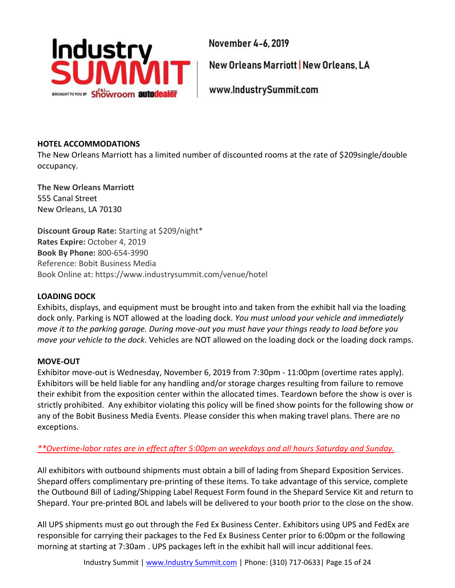

New Orleans Marriott | New Orleans, LA

www.IndustrySummit.com

### **HOTEL ACCOMMODATIONS**

The New Orleans Marriott has a limited number of discounted rooms at the rate of \$209single/double occupancy.

**The New Orleans Marriott** 555 Canal Street New Orleans, LA 70130

**Discount Group Rate:** Starting at \$209/night\* **Rates Expire:** October 4, 2019 **Book By Phone:** 800-654-3990 Reference: Bobit Business Media Book Online at: https://www.industrysummit.com/venue/hotel

### **LOADING DOCK**

Exhibits, displays, and equipment must be brought into and taken from the exhibit hall via the loading dock only. Parking is NOT allowed at the loading dock. *You must unload your vehicle and immediately move it to the parking garage. During move-out you must have your things ready to load before you move your vehicle to the dock*. Vehicles are NOT allowed on the loading dock or the loading dock ramps.

#### **MOVE-OUT**

Exhibitor move-out is Wednesday, November 6, 2019 from 7:30pm - 11:00pm (overtime rates apply). Exhibitors will be held liable for any handling and/or storage charges resulting from failure to remove their exhibit from the exposition center within the allocated times. Teardown before the show is over is strictly prohibited. Any exhibitor violating this policy will be fined show points for the following show or any of the Bobit Business Media Events. Please consider this when making travel plans. There are no exceptions.

## *\*\*Overtime-labor rates are in effect after 5:00pm on weekdays and all hours Saturday and Sunday.*

All exhibitors with outbound shipments must obtain a bill of lading from Shepard Exposition Services. Shepard offers complimentary pre-printing of these items. To take advantage of this service, complete the Outbound Bill of Lading/Shipping Label Request Form found in the Shepard Service Kit and return to Shepard. Your pre-printed BOL and labels will be delivered to your booth prior to the close on the show.

All UPS shipments must go out through the Fed Ex Business Center. Exhibitors using UPS and FedEx are responsible for carrying their packages to the Fed Ex Business Center prior to 6:00pm or the following morning at starting at 7:30am . UPS packages left in the exhibit hall will incur additional fees.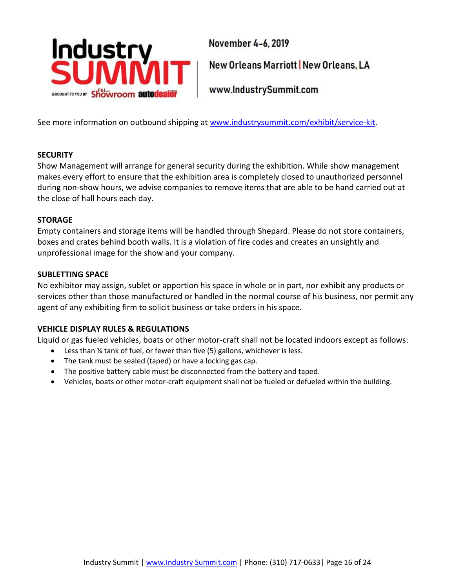

New Orleans Marriott | New Orleans, LA

www.IndustrySummit.com

See more information on outbound shipping at [www.industrysummit.com/exhibit/service-kit.](https://www.industrysummit.com/exhibit/service-kit)

#### **SECURITY**

Show Management will arrange for general security during the exhibition. While show management makes every effort to ensure that the exhibition area is completely closed to unauthorized personnel during non-show hours, we advise companies to remove items that are able to be hand carried out at the close of hall hours each day.

#### **STORAGE**

Empty containers and storage items will be handled through Shepard. Please do not store containers, boxes and crates behind booth walls. It is a violation of fire codes and creates an unsightly and unprofessional image for the show and your company.

#### **SUBLETTING SPACE**

No exhibitor may assign, sublet or apportion his space in whole or in part, nor exhibit any products or services other than those manufactured or handled in the normal course of his business, nor permit any agent of any exhibiting firm to solicit business or take orders in his space.

#### **VEHICLE DISPLAY RULES & REGULATIONS**

Liquid or gas fueled vehicles, boats or other motor-craft shall not be located indoors except as follows:

- Less than ¼ tank of fuel, or fewer than five (5) gallons, whichever is less.
- The tank must be sealed (taped) or have a locking gas cap.
- The positive battery cable must be disconnected from the battery and taped.
- <span id="page-15-0"></span>• Vehicles, boats or other motor-craft equipment shall not be fueled or defueled within the building.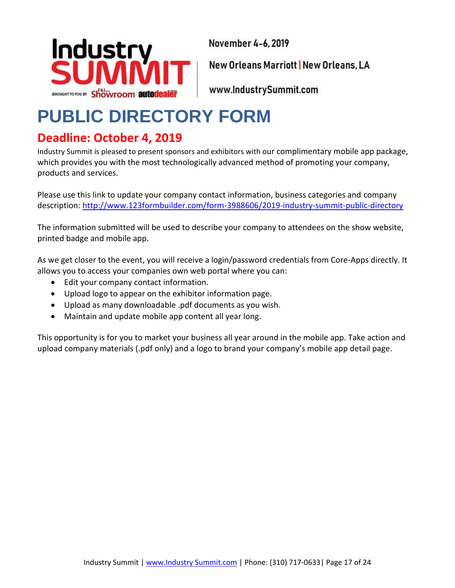

New Orleans Marriott | New Orleans, LA

www.IndustrySummit.com

## **PUBLIC DIRECTORY FORM**

## **Deadline: October 4, 2019**

Industry Summit is pleased to present sponsors and exhibitors with our complimentary mobile app package, which provides you with the most technologically advanced method of promoting your company, products and services.

Please use this link to update your company contact information, business categories and company description: <http://www.123formbuilder.com/form-3988606/2019-industry-summit-public-directory>

The information submitted will be used to describe your company to attendees on the show website, printed badge and mobile app.

As we get closer to the event, you will receive a login/password credentials from Core-Apps directly. It allows you to access your companies own web portal where you can:

- Edit your company contact information.
- Upload logo to appear on the exhibitor information page.
- Upload as many downloadable .pdf documents as you wish.
- Maintain and update mobile app content all year long.

This opportunity is for you to market your business all year around in the mobile app. Take action and upload company materials (.pdf only) and a logo to brand your company's mobile app detail page.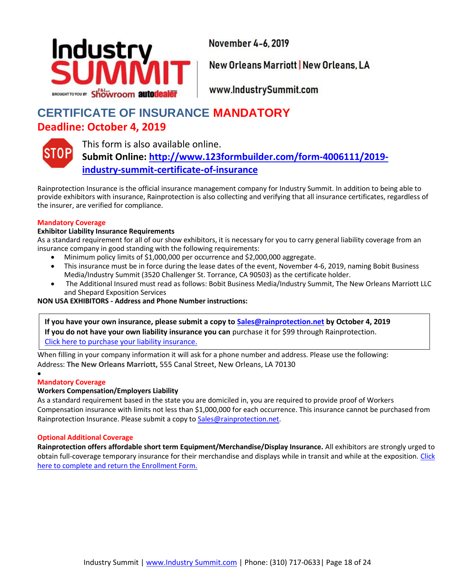

New Orleans Marriott | New Orleans, LA

www.IndustrySummit.com

## <span id="page-17-0"></span>**CERTIFICATE OF INSURANCE MANDATORY Deadline: October 4, 2019**



This form is also available online. **Submit Online: [http://www.123formbuilder.com/form-4006111/2019](http://www.123formbuilder.com/form-4006111/2019-industry-summit-certificate-of-insurance) [industry-summit-certificate-of-insurance](http://www.123formbuilder.com/form-4006111/2019-industry-summit-certificate-of-insurance)**

Rainprotection Insurance is the official insurance management company for Industry Summit. In addition to being able to provide exhibitors with insurance, Rainprotection is also collecting and verifying that all insurance certificates, regardless of the insurer, are verified for compliance.

#### **Mandatory Coverage**

#### **Exhibitor Liability Insurance Requirements**

As a standard requirement for all of our show exhibitors, it is necessary for you to carry general liability coverage from an insurance company in good standing with the following requirements:

- Minimum policy limits of \$1,000,000 per occurrence and \$2,000,000 aggregate.
- This insurance must be in force during the lease dates of the event, November 4-6, 2019, naming Bobit Business Media/Industry Summit (3520 Challenger St. Torrance, CA 90503) as the certificate holder.
- The Additional Insured must read as follows: Bobit Business Media/Industry Summit, The New Orleans Marriott LLC and Shepard Exposition Services

#### **NON USA EXHIBITORS - Address and Phone Number instructions:**

**If you have your own insurance, please submit a copy to [Sales@rainprotection.net](mailto:Sales@rainprotection.net) by October 4, 2019 If you do not have your own liability insurance you can** purchase it for \$99 through Rainprotection. [Click here to purchase your liability insurance.](https://securevendorinsurance.com/Rainprotection/ApplicantInformation?GroupEventKey=df1a64e43e4d)

When filling in your company information it will ask for a phone number and address. Please use the following: Address: **The New Orleans Marriott,** 555 Canal Street, New Orleans, LA 70130

#### • **Mandatory Coverage**

#### **Workers Compensation/Employers Liability**

As a standard requirement based in the state you are domiciled in, you are required to provide proof of Workers Compensation insurance with limits not less than \$1,000,000 for each occurrence. This insurance cannot be purchased from Rainprotection Insurance. Please submit a copy to [Sales@rainprotection.net.](mailto:Sales@rainprotection.net)

#### **Optional Additional Coverage**

<span id="page-17-1"></span>**Rainprotection offers affordable short term Equipment/Merchandise/Display Insurance.** All exhibitors are strongly urged to obtain full-coverage temporary insurance for their merchandise and displays while in transit and while at the exposition. [Click](https://eventsimages.bobitstudios.com/upload/pdfs/is/2018/service-kit/rainprotection_-_equipment_insurance_enrollment_form_-_short_term_4.pdf)  [here to complete and return the Enrollment Form.](https://eventsimages.bobitstudios.com/upload/pdfs/is/2018/service-kit/rainprotection_-_equipment_insurance_enrollment_form_-_short_term_4.pdf)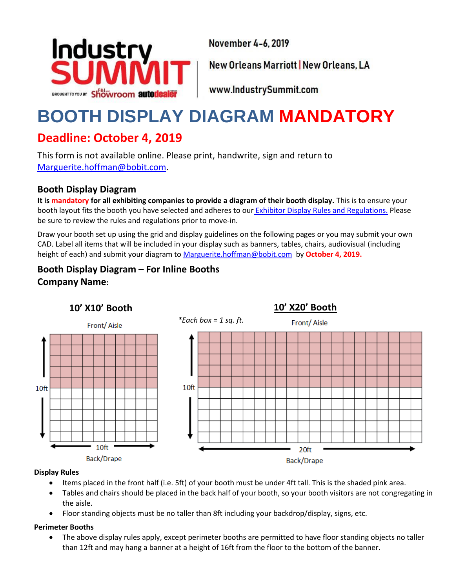

New Orleans Marriott | New Orleans, LA

www.IndustrySummit.com

## **BOOTH DISPLAY DIAGRAM MANDATORY**

## **Deadline: October 4, 2019**

This form is not available online. Please print, handwrite, sign and return to [Marguerite.hoffman@bobit.com.](mailto:marguerite.hoffman@bobit.com)

## **Booth Display Diagram**

**It is mandatory for all exhibiting companies to provide a diagram of their booth display.** This is to ensure your booth layout fits the booth you have selected and adheres to our [Exhibitor Display Rules and Regulations.](https://eventsimages.bobitstudios.com/upload/pdfs/is/2018/service-kit/exhibit-display-facility-rules-regulations_industry-summit-2018.pdf) Please be sure to review the rules and regulations prior to move-in.

Draw your booth set up using the grid and display guidelines on the following pages or you may submit your own CAD. Label all items that will be included in your display such as banners, tables, chairs, audiovisual (including height of each) and submit your diagram t[o Marguerite.hoffman@bobit.com](mailto:marguerite.hoffman@bobit.com) by **October 4, 2019.**

## **Booth Display Diagram – For Inline Booths Company Name:**



#### **Display Rules**

- Items placed in the front half (i.e. 5ft) of your booth must be under 4ft tall. This is the shaded pink area.
- Tables and chairs should be placed in the back half of your booth, so your booth visitors are not congregating in the aisle.
- Floor standing objects must be no taller than 8ft including your backdrop/display, signs, etc.

#### **Perimeter Booths**

• The above display rules apply, except perimeter booths are permitted to have floor standing objects no taller than 12ft and may hang a banner at a height of 16ft from the floor to the bottom of the banner.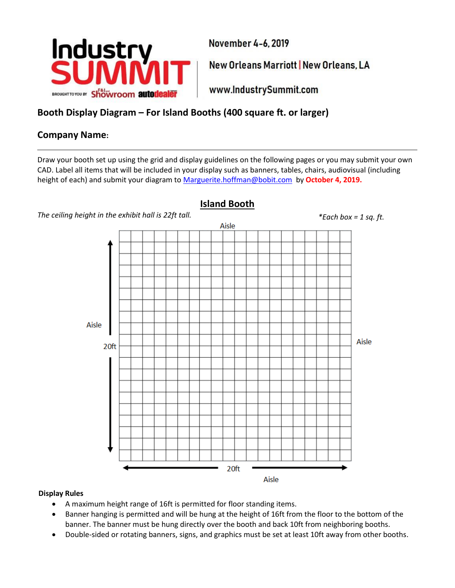

New Orleans Marriott | New Orleans, LA

www.IndustrySummit.com

## **Booth Display Diagram – For Island Booths (400 square ft. or larger)**

## **Company Name:**

Draw your booth set up using the grid and display guidelines on the following pages or you may submit your own CAD. Label all items that will be included in your display such as banners, tables, chairs, audiovisual (including height of each) and submit your diagram t[o Marguerite.hoffman@bobit.com](mailto:marguerite.hoffman@bobit.com) by **October 4, 2019.**

<span id="page-19-0"></span>

## **Island Booth**

#### **Display Rules**

- A maximum height range of 16ft is permitted for floor standing items.
- Banner hanging is permitted and will be hung at the height of 16ft from the floor to the bottom of the banner. The banner must be hung directly over the booth and back 10ft from neighboring booths.
- Double-sided or rotating banners, signs, and graphics must be set at least 10ft away from other booths.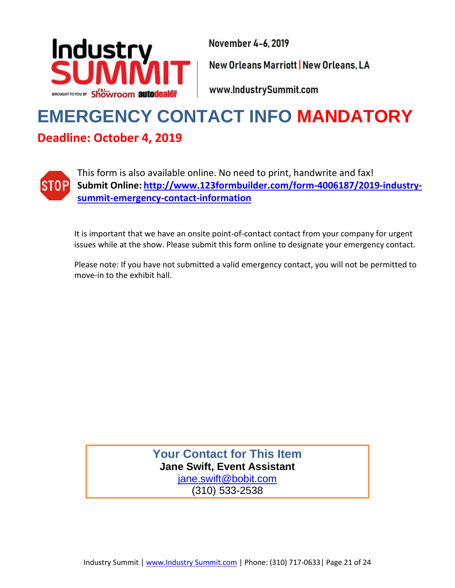![](_page_20_Picture_0.jpeg)

New Orleans Marriott | New Orleans, LA

www.IndustrySummit.com

## **EMERGENCY CONTACT INFO MANDATORY Deadline: October 4, 2019**

![](_page_20_Picture_5.jpeg)

This form is also available online. No need to print, handwrite and fax! **Submit Online: [http://www.123formbuilder.com/form-4006187/2019-industry](http://www.123formbuilder.com/form-4006187/2019-industry-summit-emergency-contact-information)[summit-emergency-contact-information](http://www.123formbuilder.com/form-4006187/2019-industry-summit-emergency-contact-information)**

It is important that we have an onsite point-of-contact contact from your company for urgent issues while at the show. Please submit this form online to designate your emergency contact.

Please note: If you have not submitted a valid emergency contact, you will not be permitted to move-in to the exhibit hall.

> **Your Contact for This Item Jane Swift, Event Assistant** [jane.swift@bobit.com](mailto:jane.swift@bobit.com) (310) 533-2538

Industry Summit | www.Industry Summit.com | Phone: (310) 717-0633| Page 21 of 24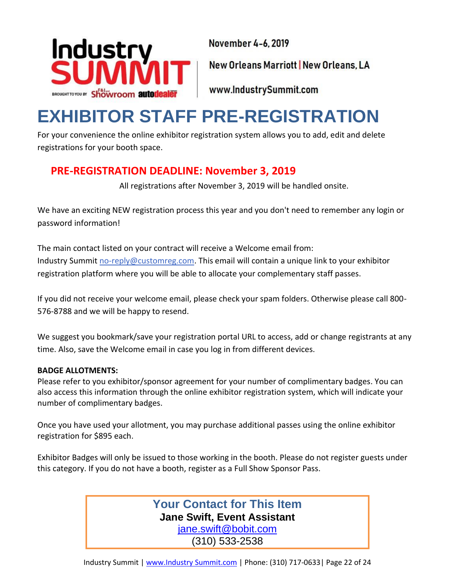![](_page_21_Picture_0.jpeg)

New Orleans Marriott | New Orleans, LA

www.IndustrySummit.com

## <span id="page-21-0"></span>**EXHIBITOR STAFF PRE-REGISTRATION**

For your convenience the online exhibitor registration system allows you to add, edit and delete registrations for your booth space.

## **PRE-REGISTRATION DEADLINE: November 3, 2019**

All registrations after November 3, 2019 will be handled onsite.

We have an exciting NEW registration process this year and you don't need to remember any login or password information!

The main contact listed on your contract will receive a Welcome email from: Industry Summit [no-reply@customreg.com.](mailto:no-reply@customreg.com) This email will contain a unique link to your exhibitor registration platform where you will be able to allocate your complementary staff passes.

If you did not receive your welcome email, please check your spam folders. Otherwise please call 800- 576-8788 and we will be happy to resend.

We suggest you bookmark/save your registration portal URL to access, add or change registrants at any time. Also, save the Welcome email in case you log in from different devices.

## **BADGE ALLOTMENTS:**

Please refer to you exhibitor/sponsor agreement for your number of complimentary badges. You can also access this information through the online exhibitor registration system, which will indicate your number of complimentary badges.

Once you have used your allotment, you may purchase additional passes using the online exhibitor registration for \$895 each.

Exhibitor Badges will only be issued to those working in the booth. Please do not register guests under this category. If you do not have a booth, register as a Full Show Sponsor Pass.

## **Your Contact for This Item Jane Swift, Event Assistant**

[jane.swift@bobit.com](mailto:jane.swift@bobit.com) (310) 533-2538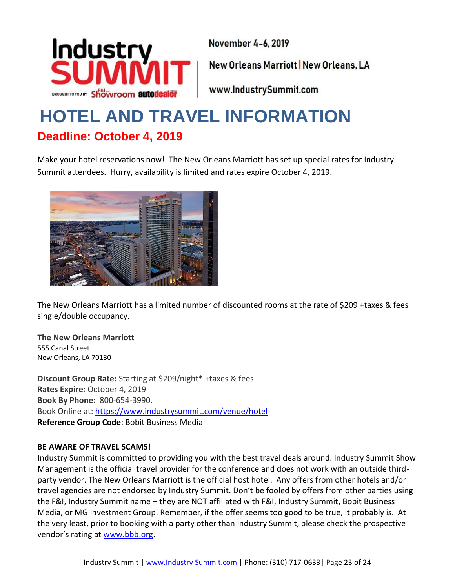![](_page_22_Picture_0.jpeg)

New Orleans Marriott | New Orleans, LA

www.IndustrySummit.com

## <span id="page-22-0"></span>**HOTEL AND TRAVEL INFORMATION Deadline: October 4, 2019**

Make your hotel reservations now! The New Orleans Marriott has set up special rates for Industry Summit attendees. Hurry, availability is limited and rates expire October 4, 2019.

![](_page_22_Picture_6.jpeg)

The New Orleans Marriott has a limited number of discounted rooms at the rate of \$209 +taxes & fees single/double occupancy.

**The New Orleans Marriott** 555 Canal Street New Orleans, LA 70130

**Discount Group Rate:** Starting at \$209/night\* +taxes & fees **Rates Expire:** October 4, 2019 **Book By Phone:** 800-654-3990. Book Online at:<https://www.industrysummit.com/venue/hotel> **Reference Group Code**: Bobit Business Media

#### **BE AWARE OF TRAVEL SCAMS!**

Industry Summit is committed to providing you with the best travel deals around. Industry Summit Show Management is the official travel provider for the conference and does not work with an outside thirdparty vendor. The New Orleans Marriott is the official host hotel. Any offers from other hotels and/or travel agencies are not endorsed by Industry Summit. Don't be fooled by offers from other parties using the F&I, Industry Summit name – they are NOT affiliated with F&I, Industry Summit, Bobit Business Media, or MG Investment Group. Remember, if the offer seems too good to be true, it probably is. At the very least, prior to booking with a party other than Industry Summit, please check the prospective vendor's rating at [www.bbb.org.](http://www.bbb.org/)